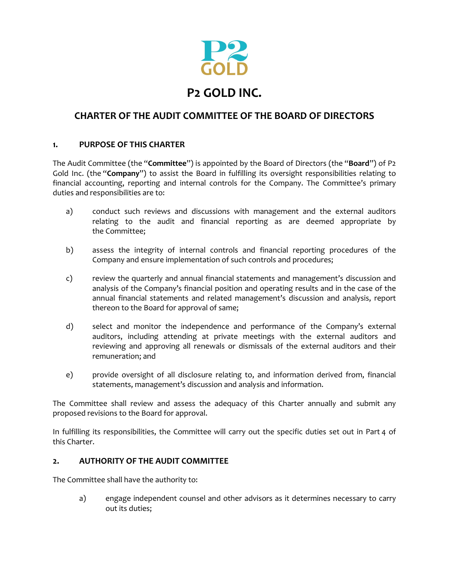

# **CHARTER OF THE AUDIT COMMITTEE OF THE BOARD OF DIRECTORS**

## **1. PURPOSE OF THIS CHARTER**

The Audit Committee (the "**Committee**") is appointed by the Board of Directors (the "**Board**") of P2 Gold Inc. (the "**Company**") to assist the Board in fulfilling its oversight responsibilities relating to financial accounting, reporting and internal controls for the Company. The Committee's primary duties and responsibilities are to:

- a) conduct such reviews and discussions with management and the external auditors relating to the audit and financial reporting as are deemed appropriate by the Committee;
- b) assess the integrity of internal controls and financial reporting procedures of the Company and ensure implementation of such controls and procedures;
- c) review the quarterly and annual financial statements and management's discussion and analysis of the Company's financial position and operating results and in the case of the annual financial statements and related management's discussion and analysis, report thereon to the Board for approval of same;
- d) select and monitor the independence and performance of the Company's external auditors, including attending at private meetings with the external auditors and reviewing and approving all renewals or dismissals of the external auditors and their remuneration; and
- e) provide oversight of all disclosure relating to, and information derived from, financial statements, management's discussion and analysis and information.

The Committee shall review and assess the adequacy of this Charter annually and submit any proposed revisions to the Board for approval.

In fulfilling its responsibilities, the Committee will carry out the specific duties set out in Part 4 of this Charter.

## **2. AUTHORITY OF THE AUDIT COMMITTEE**

The Committee shall have the authority to:

a) engage independent counsel and other advisors as it determines necessary to carry out its duties;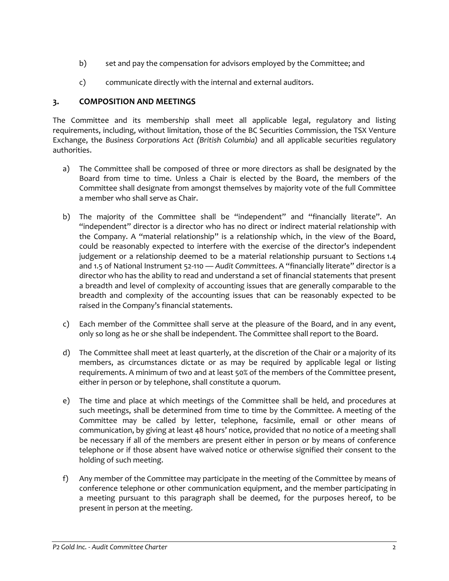- b) set and pay the compensation for advisors employed by the Committee; and
- c) communicate directly with the internal and external auditors.

# **3. COMPOSITION AND MEETINGS**

The Committee and its membership shall meet all applicable legal, regulatory and listing requirements, including, without limitation, those of the BC Securities Commission, the TSX Venture Exchange, the *Business Corporations Act (British Columbia)* and all applicable securities regulatory authorities.

- a) The Committee shall be composed of three or more directors as shall be designated by the Board from time to time. Unless a Chair is elected by the Board, the members of the Committee shall designate from amongst themselves by majority vote of the full Committee a member who shall serve as Chair.
- b) The majority of the Committee shall be "independent" and "financially literate". An "independent" director is a director who has no direct or indirect material relationship with the Company. A "material relationship" is a relationship which, in the view of the Board, could be reasonably expected to interfere with the exercise of the director's independent judgement or a relationship deemed to be a material relationship pursuant to Sections 1.4 and 1.5 of National Instrument 52-110 — *Audit Committees*. A "financially literate" director is a director who has the ability to read and understand a set of financial statements that present a breadth and level of complexity of accounting issues that are generally comparable to the breadth and complexity of the accounting issues that can be reasonably expected to be raised in the Company's financial statements.
- c) Each member of the Committee shall serve at the pleasure of the Board, and in any event, only so long as he or she shall be independent. The Committee shall report to the Board.
- d) The Committee shall meet at least quarterly, at the discretion of the Chair or a majority of its members, as circumstances dictate or as may be required by applicable legal or listing requirements. A minimum of two and at least 50% of the members of the Committee present, either in person or by telephone, shall constitute a quorum.
- e) The time and place at which meetings of the Committee shall be held, and procedures at such meetings, shall be determined from time to time by the Committee. A meeting of the Committee may be called by letter, telephone, facsimile, email or other means of communication, by giving at least 48 hours' notice, provided that no notice of a meeting shall be necessary if all of the members are present either in person or by means of conference telephone or if those absent have waived notice or otherwise signified their consent to the holding of such meeting.
- f) Any member of the Committee may participate in the meeting of the Committee by means of conference telephone or other communication equipment, and the member participating in a meeting pursuant to this paragraph shall be deemed, for the purposes hereof, to be present in person at the meeting.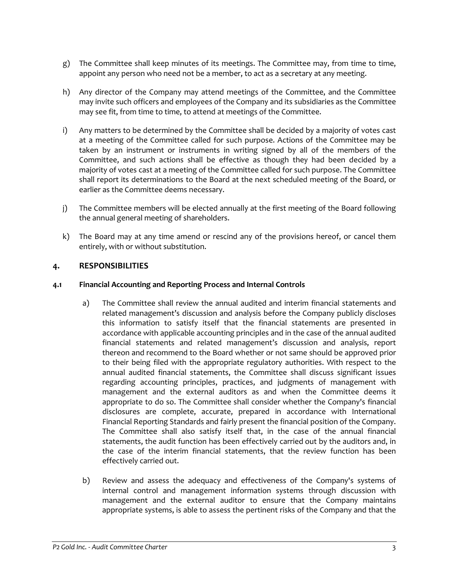- g) The Committee shall keep minutes of its meetings. The Committee may, from time to time, appoint any person who need not be a member, to act as a secretary at any meeting.
- h) Any director of the Company may attend meetings of the Committee, and the Committee may invite such officers and employees of the Company and its subsidiaries as the Committee may see fit, from time to time, to attend at meetings of the Committee.
- i) Any matters to be determined by the Committee shall be decided by a majority of votes cast at a meeting of the Committee called for such purpose. Actions of the Committee may be taken by an instrument or instruments in writing signed by all of the members of the Committee, and such actions shall be effective as though they had been decided by a majority of votes cast at a meeting of the Committee called for such purpose. The Committee shall report its determinations to the Board at the next scheduled meeting of the Board, or earlier as the Committee deems necessary.
- j) The Committee members will be elected annually at the first meeting of the Board following the annual general meeting of shareholders.
- k) The Board may at any time amend or rescind any of the provisions hereof, or cancel them entirely, with or without substitution.

# **4. RESPONSIBILITIES**

#### **4.1 Financial Accounting and Reporting Process and Internal Controls**

- a) The Committee shall review the annual audited and interim financial statements and related management's discussion and analysis before the Company publicly discloses this information to satisfy itself that the financial statements are presented in accordance with applicable accounting principles and in the case of the annual audited financial statements and related management's discussion and analysis, report thereon and recommend to the Board whether or not same should be approved prior to their being filed with the appropriate regulatory authorities. With respect to the annual audited financial statements, the Committee shall discuss significant issues regarding accounting principles, practices, and judgments of management with management and the external auditors as and when the Committee deems it appropriate to do so. The Committee shall consider whether the Company's financial disclosures are complete, accurate, prepared in accordance with International Financial Reporting Standards and fairly present the financial position of the Company. The Committee shall also satisfy itself that, in the case of the annual financial statements, the audit function has been effectively carried out by the auditors and, in the case of the interim financial statements, that the review function has been effectively carried out.
- b) Review and assess the adequacy and effectiveness of the Company's systems of internal control and management information systems through discussion with management and the external auditor to ensure that the Company maintains appropriate systems, is able to assess the pertinent risks of the Company and that the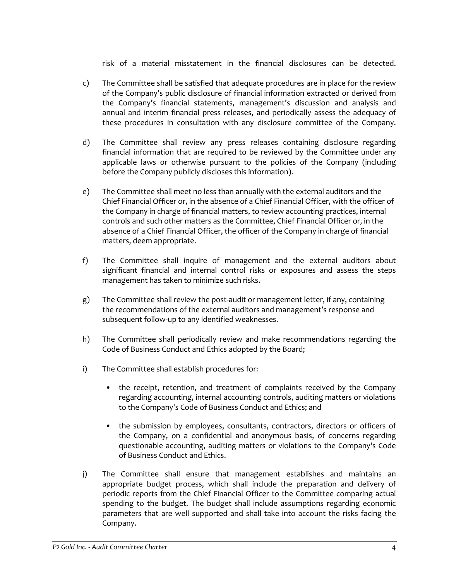risk of a material misstatement in the financial disclosures can be detected.

- c) The Committee shall be satisfied that adequate procedures are in place for the review of the Company's public disclosure of financial information extracted or derived from the Company's financial statements, management's discussion and analysis and annual and interim financial press releases, and periodically assess the adequacy of these procedures in consultation with any disclosure committee of the Company.
- d) The Committee shall review any press releases containing disclosure regarding financial information that are required to be reviewed by the Committee under any applicable laws or otherwise pursuant to the policies of the Company (including before the Company publicly discloses this information).
- e) The Committee shall meet no less than annually with the external auditors and the Chief Financial Officer or, in the absence of a Chief Financial Officer, with the officer of the Company in charge of financial matters, to review accounting practices, internal controls and such other matters as the Committee, Chief Financial Officer or, in the absence of a Chief Financial Officer, the officer of the Company in charge of financial matters, deem appropriate.
- f) The Committee shall inquire of management and the external auditors about significant financial and internal control risks or exposures and assess the steps management has taken to minimize such risks.
- g) The Committee shall review the post-audit or management letter, if any, containing the recommendations of the external auditors and management's response and subsequent follow-up to any identified weaknesses.
- h) The Committee shall periodically review and make recommendations regarding the Code of Business Conduct and Ethics adopted by the Board;
- i) The Committee shall establish procedures for:
	- the receipt, retention, and treatment of complaints received by the Company regarding accounting, internal accounting controls, auditing matters or violations to the Company's Code of Business Conduct and Ethics; and
	- the submission by employees, consultants, contractors, directors or officers of the Company, on a confidential and anonymous basis, of concerns regarding questionable accounting, auditing matters or violations to the Company's Code of Business Conduct and Ethics.
- j) The Committee shall ensure that management establishes and maintains an appropriate budget process, which shall include the preparation and delivery of periodic reports from the Chief Financial Officer to the Committee comparing actual spending to the budget. The budget shall include assumptions regarding economic parameters that are well supported and shall take into account the risks facing the Company.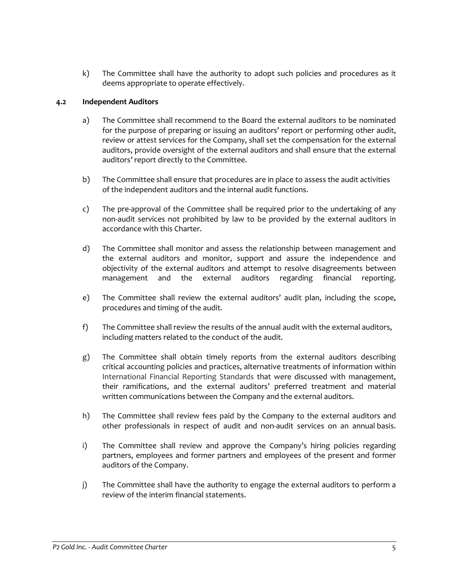k) The Committee shall have the authority to adopt such policies and procedures as it deems appropriate to operate effectively.

#### **4.2 Independent Auditors**

- a) The Committee shall recommend to the Board the external auditors to be nominated for the purpose of preparing or issuing an auditors' report or performing other audit, review or attest services for the Company, shall set the compensation for the external auditors, provide oversight of the external auditors and shall ensure that the external auditors' report directly to the Committee.
- b) The Committee shall ensure that procedures are in place to assess the audit activities of the independent auditors and the internal audit functions.
- c) The pre-approval of the Committee shall be required prior to the undertaking of any non-audit services not prohibited by law to be provided by the external auditors in accordance with this Charter.
- d) The Committee shall monitor and assess the relationship between management and the external auditors and monitor, support and assure the independence and objectivity of the external auditors and attempt to resolve disagreements between management and the external auditors regarding financial reporting.
- e) The Committee shall review the external auditors' audit plan, including the scope, procedures and timing of the audit.
- f) The Committee shall review the results of the annual audit with the external auditors, including matters related to the conduct of the audit.
- g) The Committee shall obtain timely reports from the external auditors describing critical accounting policies and practices, alternative treatments of information within International Financial Reporting Standards that were discussed with management, their ramifications, and the external auditors' preferred treatment and material written communications between the Company and the external auditors.
- h) The Committee shall review fees paid by the Company to the external auditors and other professionals in respect of audit and non-audit services on an annual basis.
- i) The Committee shall review and approve the Company's hiring policies regarding partners, employees and former partners and employees of the present and former auditors of the Company.
- j) The Committee shall have the authority to engage the external auditors to perform a review of the interim financial statements.